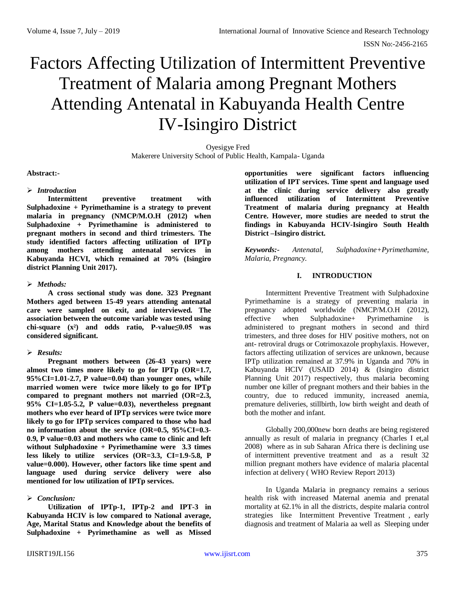# Factors Affecting Utilization of Intermittent Preventive Treatment of Malaria among Pregnant Mothers Attending Antenatal in Kabuyanda Health Centre IV-Isingiro District

Oyesigye Fred Makerere University School of Public Health, Kampala- Uganda

#### **Abstract:-**

#### *Introduction*

**Intermittent preventive treatment with Sulphadoxine + Pyrimethamine is a strategy to prevent malaria in pregnancy (NMCP/M.O.H (2012) when Sulphadoxine + Pyrimethamine is administered to pregnant mothers in second and third trimesters. The study identified factors affecting utilization of IPTp among mothers attending antenatal services in Kabuyanda HCVI, which remained at 70% (Isingiro district Planning Unit 2017).**

#### *Methods:*

**A cross sectional study was done. 323 Pregnant Mothers aged between 15-49 years attending antenatal care were sampled on exit, and interviewed. The association between the outcome variable was tested using chi-square (x²) and odds ratio, P-value≤0.05 was considered significant.** 

## *Results:*

**Pregnant mothers between (26-43 years) were almost two times more likely to go for IPTp (OR=1.7, 95%CI=1.01-2.7, P value=0.04) than younger ones, while married women were twice more likely to go for IPTp compared to pregnant mothers not married (OR=2.3, 95% CI=1.05-5.2, P value=0.03), nevertheless pregnant mothers who ever heard of IPTp services were twice more likely to go for IPTp services compared to those who had no information about the service (OR=0.5, 95%CI=0.3- 0.9, P value=0.03 and mothers who came to clinic and left without Sulphadoxine + Pyrimethamine were 3.3 times less likely to utilize services (OR=3.3, CI=1.9-5.8, P value=0.000). However, other factors like time spent and language used during service delivery were also mentioned for low utilization of IPTp services.**

## *Conclusion:*

**Utilization of IPTp-1, IPTp-2 and IPT-3 in Kabuyanda HCIV is low compared to National average, Age, Marital Status and Knowledge about the benefits of Sulphadoxine + Pyrimethamine as well as Missed**  **opportunities were significant factors influencing utilization of IPT services. Time spent and language used at the clinic during service delivery also greatly influenced utilization of Intermittent Preventive Treatment of malaria during pregnancy at Health Centre. However, more studies are needed to strut the findings in Kabuyanda HCIV-Isingiro South Health District –Isingiro district.**

*Keywords:- Antenatal, Sulphadoxine+Pyrimethamine, Malaria, Pregnancy.*

## **I. INTRODUCTION**

Intermittent Preventive Treatment with Sulphadoxine Pyrimethamine is a strategy of preventing malaria in pregnancy adopted worldwide (NMCP/M.O.H (2012), effective when Sulphadoxine+ Pyrimethamine is administered to pregnant mothers in second and third trimesters, and three doses for HIV positive mothers, not on ant- retroviral drugs or Cotrimoxazole prophylaxis. However, factors affecting utilization of services are unknown, because IPTp utilization remained at 37.9% in Uganda and 70% in Kabuyanda HCIV (USAID 2014) & (Isingiro district Planning Unit 2017) respectively, thus malaria becoming number one killer of pregnant mothers and their babies in the country, due to reduced immunity, increased anemia, premature deliveries, stillbirth, low birth weight and death of both the mother and infant.

Globally 200,000new born deaths are being registered annually as result of malaria in pregnancy (Charles I et,al 2008) where as in sub Saharan Africa there is declining use of intermittent preventive treatment and as a result 32 million pregnant mothers have evidence of malaria placental infection at delivery ( WHO Review Report 2013)

In Uganda Malaria in pregnancy remains a serious health risk with increased Maternal anemia and prenatal mortality at 62.1% in all the districts, despite malaria control strategies like Intermittent Preventive Treatment , early diagnosis and treatment of Malaria aa well as Sleeping under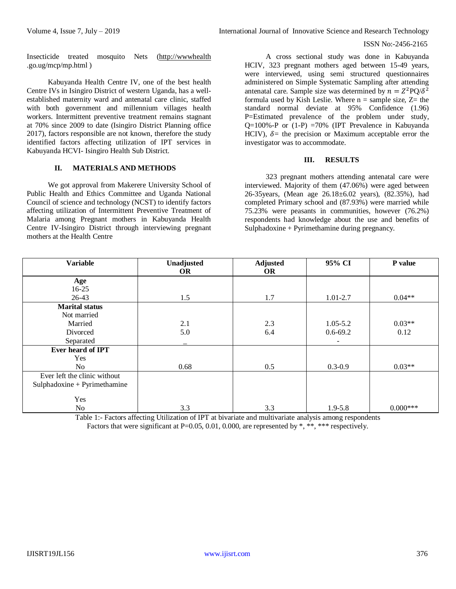#### ISSN No:-2456-2165

Insecticide treated mosquito Nets [\(http://wwwhealth](http://wwwhealth/) .go.ug/mcp/mp.html )

Kabuyanda Health Centre IV, one of the best health Centre IVs in Isingiro District of western Uganda, has a wellestablished maternity ward and antenatal care clinic, staffed with both government and millennium villages health workers. Intermittent preventive treatment remains stagnant at 70% since 2009 to date (Isingiro District Planning office 2017), factors responsible are not known, therefore the study identified factors affecting utilization of IPT services in Kabuyanda HCVI- Isingiro Health Sub District.

#### **II. MATERIALS AND METHODS**

We got approval from Makerere University School of Public Health and Ethics Committee and Uganda National Council of science and technology (NCST) to identify factors affecting utilization of Intermittent Preventive Treatment of Malaria among Pregnant mothers in Kabuyanda Health Centre IV-Isingiro District through interviewing pregnant mothers at the Health Centre

A cross sectional study was done in Kabuyanda HCIV, 323 pregnant mothers aged between 15-49 years, were interviewed, using semi structured questionnaires administered on Simple Systematic Sampling after attending antenatal care. Sample size was determined by  $n = Z^2 PQ/\delta^2$ formula used by Kish Leslie. Where  $n =$  sample size,  $Z=$  the standard normal deviate at 95% Confidence (1.96) P=Estimated prevalence of the problem under study,  $Q=100\% - P$  or  $(1-P) = 70\%$  (IPT Prevalence in Kabuyanda HCIV),  $\delta$  = the precision or Maximum acceptable error the investigator was to accommodate.

#### **III. RESULTS**

323 pregnant mothers attending antenatal care were interviewed. Majority of them (47.06%) were aged between 26-35years, (Mean age 26.18±6.02 years), (82.35%), had completed Primary school and (87.93%) were married while 75.23% were peasants in communities, however (76.2%) respondents had knowledge about the use and benefits of Sulphadoxine + Pyrimethamine during pregnancy.

| <b>Variable</b>                | Unadjusted | <b>Adjusted</b> | 95% CI       | P value    |
|--------------------------------|------------|-----------------|--------------|------------|
|                                | <b>OR</b>  | <b>OR</b>       |              |            |
| Age                            |            |                 |              |            |
| $16-25$                        |            |                 |              |            |
| $26-43$                        | 1.5        | 1.7             | $1.01 - 2.7$ | $0.04**$   |
| <b>Marital status</b>          |            |                 |              |            |
| Not married                    |            |                 |              |            |
| Married                        | 2.1        | 2.3             | $1.05 - 5.2$ | $0.03**$   |
| Divorced                       | 5.0        | 6.4             | $0.6 - 69.2$ | 0.12       |
| Separated                      |            |                 |              |            |
| Ever heard of IPT              |            |                 |              |            |
| <b>Yes</b>                     |            |                 |              |            |
| No                             | 0.68       | 0.5             | $0.3 - 0.9$  | $0.03**$   |
| Ever left the clinic without   |            |                 |              |            |
| $Sulphadowine + Pyrimethamine$ |            |                 |              |            |
|                                |            |                 |              |            |
| Yes                            |            |                 |              |            |
| No                             | 3.3        | 3.3             | $1.9 - 5.8$  | $0.000***$ |

Table 1:- Factors affecting Utilization of IPT at bivariate and multivariate analysis among respondents Factors that were significant at P=0.05, 0.01, 0.000, are represented by \*, \*\*, \*\*\* respectively.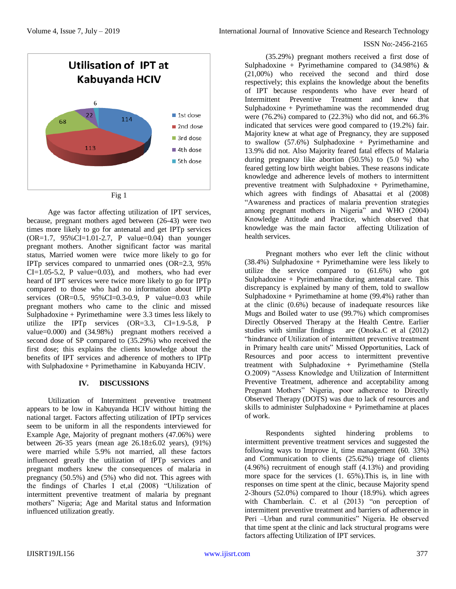#### ISSN No:-2456-2165



Age was factor affecting utilization of IPT services, because, pregnant mothers aged between (26-43) were two times more likely to go for antenatal and get IPTp services  $(OR=1.7, 95\% CI=1.01-2.7, P value=0.04)$  than younger pregnant mothers. Another significant factor was marital status, Married women were twice more likely to go for IPTp services compared to unmarried ones (OR=2.3, 95%  $CI=1.05-5.2$ , P value=0.03), and mothers, who had ever heard of IPT services were twice more likely to go for IPTp compared to those who had no information about IPTp services  $(OR=0.5, 95\%CI=0.3-0.9, P value=0.03 while$ pregnant mothers who came to the clinic and missed Sulphadoxine + Pyrimethamine were 3.3 times less likely to utilize the IPTp services  $(OR=3.3, CI=1.9-5.8, P)$ value=0.000) and (34.98%) pregnant mothers received a second dose of SP compared to (35.29%) who received the first dose; this explains the clients knowledge about the benefits of IPT services and adherence of mothers to IPTp with Sulphadoxine + Pyrimethamine in Kabuyanda HCIV.

## **IV. DISCUSSIONS**

Utilization of Intermittent preventive treatment appears to be low in Kabuyanda HCIV without hitting the national target. Factors affecting utilization of IPTp services seem to be uniform in all the respondents interviewed for Example Age, Majority of pregnant mothers (47.06%) were between 26-35 years (mean age 26.18±6.02 years), (91%) were married while 5.9% not married, all these factors influenced greatly the utilization of IPTp services and pregnant mothers knew the consequences of malaria in pregnancy (50.5%) and (5%) who did not. This agrees with the findings of Charles I et,al (2008) "Utilization of intermittent preventive treatment of malaria by pregnant mothers" Nigeria; Age and Marital status and Information influenced utilization greatly.

(35.29%) pregnant mothers received a first dose of Sulphadoxine + Pyrimethamine compared to  $(34.98\%)$  & (21,00%) who received the second and third dose respectively; this explains the knowledge about the benefits of IPT because respondents who have ever heard of Intermittent Preventive Treatment and knew that Sulphadoxine + Pyrimethamine was the recommended drug were (76.2%) compared to (22.3%) who did not, and 66.3% indicated that services were good compared to (19.2%) fair. Majority knew at what age of Pregnancy, they are supposed to swallow  $(57.6%)$  Sulphadoxine + Pyrimethamine and 13.9% did not. Also Majority feared fatal effects of Malaria during pregnancy like abortion (50.5%) to (5.0 %) who feared getting low birth weight babies. These reasons indicate knowledge and adherence levels of mothers to intermittent preventive treatment with Sulphadoxine + Pyrimethamine, which agrees with findings of Abasattai et al (2008) "Awareness and practices of malaria prevention strategies among pregnant mothers in Nigeria" and WHO (2004) Knowledge Attitude and Practice, which observed that knowledge was the main factor affecting Utilization of health services.

Pregnant mothers who ever left the clinic without (38.4%) Sulphadoxine + Pyrimethamine were less likely to utilize the service compared to (61.6%) who got Sulphadoxine + Pyrimethamine during antenatal care. This discrepancy is explained by many of them, told to swallow Sulphadoxine + Pyrimethamine at home  $(99.4\%)$  rather than at the clinic (0.6%) because of inadequate resources like Mugs and Boiled water to use (99.7%) which compromises Directly Observed Therapy at the Health Centre. Earlier studies with similar findings are (Onoka.C et al (2012) "hindrance of Utilization of intermittent preventive treatment in Primary health care units" Missed Opportunities, Lack of Resources and poor access to intermittent preventive treatment with Sulphadoxine  $+$  Pyrimethamine (Stella O.2009) "Assess Knowledge and Utilization of Intermittent Preventive Treatment, adherence and acceptability among Pregnant Mothers" Nigeria, poor adherence to Directly Observed Therapy (DOTS) was due to lack of resources and skills to administer Sulphadoxine + Pyrimethamine at places of work.

Respondents sighted hindering problems to intermittent preventive treatment services and suggested the following ways to Improve it, time management (60. 33%) and Communication to clients (25.62%) triage of clients (4.96%) recruitment of enough staff (4.13%) and providing more space for the services (1. 65%).This is, in line with responses on time spent at the clinic, because Majority spend 2-3hours (52.0%) compared to 1hour (18.9%). which agrees with Chamberlain. C. et al (2013) "on perception of intermittent preventive treatment and barriers of adherence in Peri –Urban and rural communities" Nigeria. He observed that time spent at the clinic and lack structural programs were factors affecting Utilization of IPT services.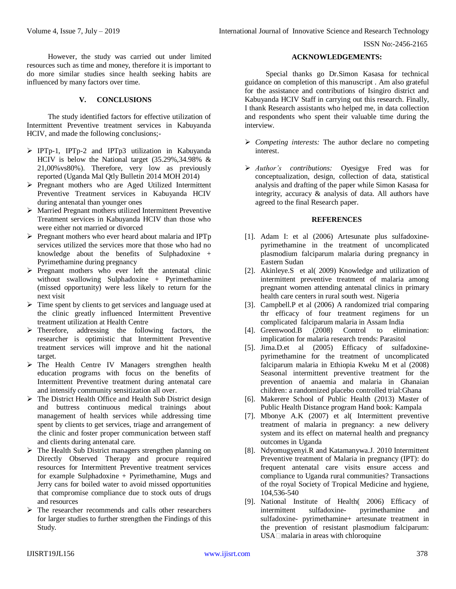However, the study was carried out under limited resources such as time and money, therefore it is important to do more similar studies since health seeking habits are influenced by many factors over time.

# **V. CONCLUSIONS**

The study identified factors for effective utilization of Intermittent Preventive treatment services in Kabuyanda HCIV, and made the following conclusions;-

- IPTp-1, IPTp-2 and IPTp3 utilization in Kabuyanda HCIV is below the National target (35.29%,34.98% & 21,00%vs80%). Therefore, very low as previously reported (Uganda Mal Qtly Bulletin 2014 MOH 2014)
- $\triangleright$  Pregnant mothers who are Aged Utilized Intermittent Preventive Treatment services in Kabuyanda HCIV during antenatal than younger ones
- Married Pregnant mothers utilized Intermittent Preventive Treatment services in Kabuyanda HCIV than those who were either not married or divorced
- $\triangleright$  Pregnant mothers who ever heard about malaria and IPTp services utilized the services more that those who had no knowledge about the benefits of Sulphadoxine + Pyrimethamine during pregnancy
- $\triangleright$  Pregnant mothers who ever left the antenatal clinic without swallowing Sulphadoxine + Pyrimethamine (missed opportunity) were less likely to return for the next visit
- $\triangleright$  Time spent by clients to get services and language used at the clinic greatly influenced Intermittent Preventive treatment utilization at Health Centre
- $\triangleright$  Therefore, addressing the following factors, the researcher is optimistic that Intermittent Preventive treatment services will improve and hit the national target.
- The Health Centre IV Managers strengthen health education programs with focus on the benefits of Intermittent Preventive treatment during antenatal care and intensify community sensitization all over.
- The District Health Office and Health Sub District design and buttress continuous medical trainings about management of health services while addressing time spent by clients to get services, triage and arrangement of the clinic and foster proper communication between staff and clients during antenatal care.
- > The Health Sub District managers strengthen planning on Directly Observed Therapy and procure required resources for Intermittent Preventive treatment services for example Sulphadoxine + Pyrimethamine, Mugs and Jerry cans for boiled water to avoid missed opportunities that compromise compliance due to stock outs of drugs and resources
- The researcher recommends and calls other researchers for larger studies to further strengthen the Findings of this Study.

# **ACKNOWLEDGEMENTS:**

Special thanks go Dr.Simon Kasasa for technical guidance on completion of this manuscript . Am also grateful for the assistance and contributions of Isingiro district and Kabuyanda HCIV Staff in carrying out this research. Finally, I thank Research assistants who helped me, in data collection and respondents who spent their valuable time during the interview.

- *Competing interests:* The author declare no competing interest.
- *Author's contributions:* Oyesigye Fred was for conceptualization, design, collection of data, statistical analysis and drafting of the paper while Simon Kasasa for integrity, accuracy & analysis of data. All authors have agreed to the final Research paper.

#### **REFERENCES**

- [1]. Adam I: et al (2006) Artesunate plus sulfadoxinepyrimethamine in the treatment of uncomplicated plasmodium falciparum malaria during pregnancy in Eastern Sudan
- [2]. Akinleye.S et al( 2009) Knowledge and utilization of intermittent preventive treatment of malaria among pregnant women attending antenatal clinics in primary health care centers in rural south west. Nigeria
- [3]. Campbell.P et al (2006) A randomized trial comparing thr efficacy of four treatment regimens for un complicated falciparum malaria in Assam India
- [4]. Greenwood.B (2008) Control to elimination: implication for malaria research trends: Parasitol
- [5]. Jima.D.et al (2005) Efficacy of sulfadoxinepyrimethamine for the treatment of uncomplicated falciparum malaria in Ethiopia Kweku M et al (2008) Seasonal intermittent preventive treatment for the prevention of anaemia and malaria in Ghanaian children: a randomized placebo controlled trial:Ghana
- [6]. Makerere School of Public Health (2013) Master of Public Health Distance program Hand book: Kampala
- [7]. Mbonye A.K (2007) et al( Intermittent preventive treatment of malaria in pregnancy: a new delivery system and its effect on maternal health and pregnancy outcomes in Uganda
- [8]. Ndyomugyenyi.R and Katamanywa.J. 2010 Intermittent Preventive treatment of Malaria in pregnancy (IPT): do frequent antenatal care visits ensure access and compliance to Uganda rural communities? Transactions of the royal Society of Tropical Medicine and hygiene, 104,536-540
- [9]. National Institute of Health( 2006) Efficacy of intermittent sulfadoxine- pyrimethamine and sulfadoxine- pyrimethamine+ artesunate treatment in the prevention of resistant plasmodium falciparum: USA malaria in areas with chloroquine